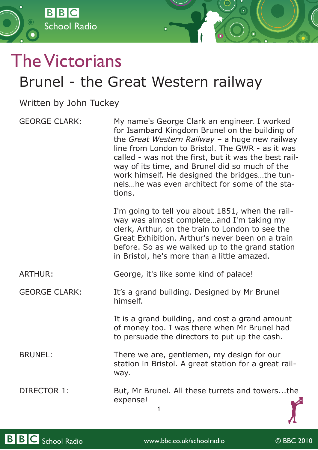

Written by John Tuckey

School Radio

**BBC** 

GEORGE CLARK: My name's George Clark an engineer. I worked for Isambard Kingdom Brunel on the building of the *Great Western Railway* – a huge new railway line from London to Bristol. The GWR - as it was called - was not the first, but it was the best railway of its time, and Brunel did so much of the work himself. He designed the bridges…the tunnels…he was even architect for some of the stations. I'm going to tell you about 1851, when the railway was almost complete…and I'm taking my clerk, Arthur, on the train to London to see the Great Exhibition. Arthur's never been on a train before. So as we walked up to the grand station in Bristol, he's more than a little amazed. ARTHUR: George, it's like some kind of palace! GEORGE CLARK: It's a grand building. Designed by Mr Brunel himself. It is a grand building, and cost a grand amount of money too. I was there when Mr Brunel had

BRUNEL: There we are, gentlemen, my design for our station in Bristol. A great station for a great railway.

DIRECTOR 1: But, Mr Brunel. All these turrets and towers...the expense!

1

to persuade the directors to put up the cash.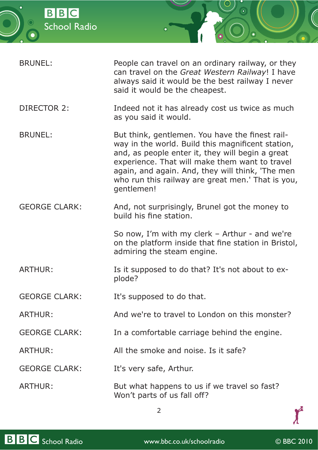

| BRUNEL: | People can travel on an ordinary railway, or they<br>can travel on the Great Western Railway! I have |
|---------|------------------------------------------------------------------------------------------------------|
|         | always said it would be the best railway I never<br>said it would be the cheapest.                   |

- DIRECTOR 2: Indeed not it has already cost us twice as much as you said it would.
- BRUNEL: But think, gentlemen. You have the finest railway in the world. Build this magnificent station, and, as people enter it, they will begin a great experience. That will make them want to travel again, and again. And, they will think, 'The men who run this railway are great men.' That is you, gentlemen!
- GEORGE CLARK: And, not surprisingly, Brunel got the money to build his fine station.

So now, I'm with my clerk – Arthur - and we're on the platform inside that fine station in Bristol, admiring the steam engine.

ARTHUR: Is it supposed to do that? It's not about to explode?

GEORGE CLARK: It's supposed to do that.

ARTHUR: And we're to travel to London on this monster?

- GEORGE CLARK: In a comfortable carriage behind the engine.
- ARTHUR: All the smoke and noise. Is it safe?

GEORGE CLARK: It's very safe, Arthur.

ARTHUR: But what happens to us if we travel so fast? Won't parts of us fall off?

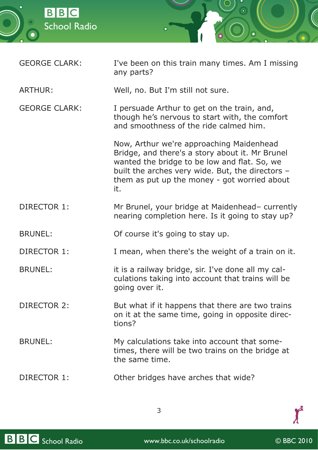

| <b>GEORGE CLARK:</b> | I've been on this train many times. Am I missing |
|----------------------|--------------------------------------------------|
|                      | any parts?                                       |

ARTHUR: Well, no. But I'm still not sure.

GEORGE CLARK: I persuade Arthur to get on the train, and, though he's nervous to start with, the comfort and smoothness of the ride calmed him.

> Now, Arthur we're approaching Maidenhead Bridge, and there's a story about it. Mr Brunel wanted the bridge to be low and flat. So, we built the arches very wide. But, the directors – them as put up the money - got worried about it.

## DIRECTOR 1: Mr Brunel, your bridge at Maidenhead– currently nearing completion here. Is it going to stay up?

BRUNEL: Of course it's going to stay up.

DIRECTOR 1: I mean, when there's the weight of a train on it.

BRUNEL: it is a railway bridge, sir. I've done all my calculations taking into account that trains will be going over it.

DIRECTOR 2: But what if it happens that there are two trains on it at the same time, going in opposite directions?

BRUNEL: My calculations take into account that sometimes, there will be two trains on the bridge at the same time.

DIRECTOR 1: Other bridges have arches that wide?

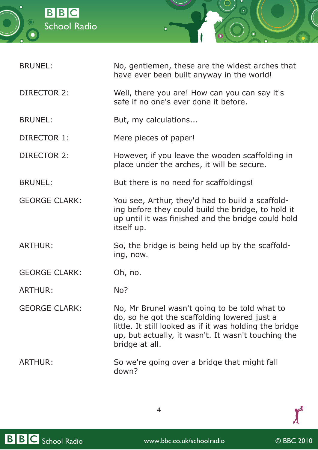



| <b>BRUNEL:</b>       | No, gentlemen, these are the widest arches that<br>have ever been built anyway in the world!                                                                                                                                      |
|----------------------|-----------------------------------------------------------------------------------------------------------------------------------------------------------------------------------------------------------------------------------|
| <b>DIRECTOR 2:</b>   | Well, there you are! How can you can say it's<br>safe if no one's ever done it before.                                                                                                                                            |
| <b>BRUNEL:</b>       | But, my calculations                                                                                                                                                                                                              |
| DIRECTOR 1:          | Mere pieces of paper!                                                                                                                                                                                                             |
| <b>DIRECTOR 2:</b>   | However, if you leave the wooden scaffolding in<br>place under the arches, it will be secure.                                                                                                                                     |
| <b>BRUNEL:</b>       | But there is no need for scaffoldings!                                                                                                                                                                                            |
| <b>GEORGE CLARK:</b> | You see, Arthur, they'd had to build a scaffold-<br>ing before they could build the bridge, to hold it<br>up until it was finished and the bridge could hold<br>itself up.                                                        |
| <b>ARTHUR:</b>       | So, the bridge is being held up by the scaffold-<br>ing, now.                                                                                                                                                                     |
| <b>GEORGE CLARK:</b> | Oh, no.                                                                                                                                                                                                                           |
| <b>ARTHUR:</b>       | No?                                                                                                                                                                                                                               |
| <b>GEORGE CLARK:</b> | No, Mr Brunel wasn't going to be told what to<br>do, so he got the scaffolding lowered just a<br>little. It still looked as if it was holding the bridge<br>up, but actually, it wasn't. It wasn't touching the<br>bridge at all. |
| <b>ARTHUR:</b>       | So we're going over a bridge that might fall<br>down?                                                                                                                                                                             |



 $\boldsymbol{f}$